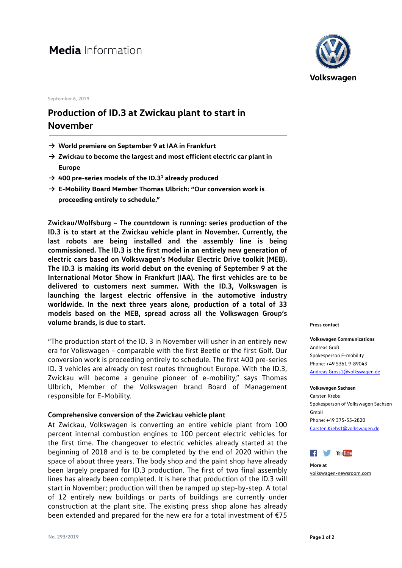# Media Information

**September 6, 2019**

## **Production of ID.3 at Zwickau plant to start in November**

- **→ World premiere on September 9 at IAA in Frankfurt**
- **→ Zwickau to become the largest and most efficient electric car plant in Europe**
- → 400 pre-series models of the ID.3<sup>1</sup> already produced
- **→ E-Mobility Board Member Thomas Ulbrich: "Our conversion work is proceeding entirely to schedule."**

**Zwickau/Wolfsburg – The countdown is running: series production of the ID.3 is to start at the Zwickau vehicle plant in November. Currently, the last robots are being installed and the assembly line is being commissioned. The ID.3 is the first model in an entirely new generation of electric cars based on Volkswagen's Modular Electric Drive toolkit (MEB). The ID.3 is making its world debut on the evening of September 9 at the International Motor Show in Frankfurt (IAA). The first vehicles are to be delivered to customers next summer. With the ID.3, Volkswagen is launching the largest electric offensive in the automotive industry worldwide. In the next three years alone, production of a total of 33 models based on the MEB, spread across all the Volkswagen Group's volume brands, is due to start.**

"The production start of the ID. 3 in November will usher in an entirely new era for Volkswagen – comparable with the first Beetle or the first Golf. Our conversion work is proceeding entirely to schedule. The first 400 pre-series ID. 3 vehicles are already on test routes throughout Europe. With the ID.3, Zwickau will become a genuine pioneer of e-mobility," says Thomas Ulbrich, Member of the Volkswagen brand Board of Management responsible for E-Mobility.

### **Comprehensive conversion of the Zwickau vehicle plant**

At Zwickau, Volkswagen is converting an entire vehicle plant from 100 percent internal combustion engines to 100 percent electric vehicles for the first time. The changeover to electric vehicles already started at the beginning of 2018 and is to be completed by the end of 2020 within the space of about three years. The body shop and the paint shop have already been largely prepared for ID.3 production. The first of two final assembly lines has already been completed. It is here that production of the ID.3 will start in November; production will then be ramped up step-by-step. A total of 12 entirely new buildings or parts of buildings are currently under construction at the plant site. The existing press shop alone has already been extended and prepared for the new era for a total investment of €75



#### **Press contact**

**Volkswagen Communications** Andreas Groß Spokesperson E-mobility Phone: +49 5361 9-89043 Andreas.Gross1@volkswagen.de

**Volkswagen Sachsen** Carsten Krebs Spokesperson of Volkswagen Sachsen GmbH Phone: +49 375-55-2820 [Carsten.Krebs1@volkswagen.de](mailto:Carsten.Krebs1@volkswagen.de)



**More at** [volkswagen-newsroom.com](https://www.volkswagen-media-services.com/)